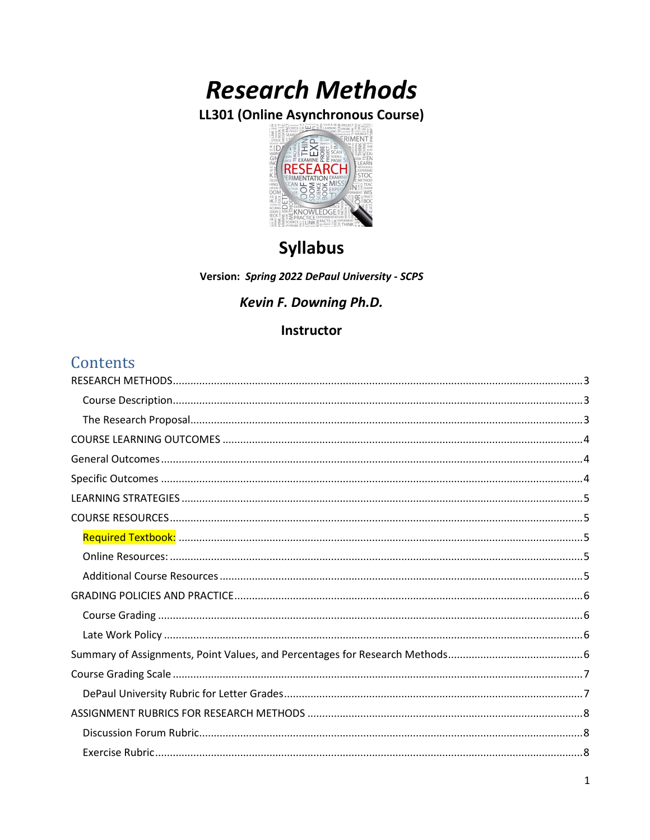# **Research Methods**

LL301 (Online Asynchronous Course)



## **Syllabus**

Version: Spring 2022 DePaul University - SCPS

## Kevin F. Downing Ph.D.

## Instructor

## **Contents**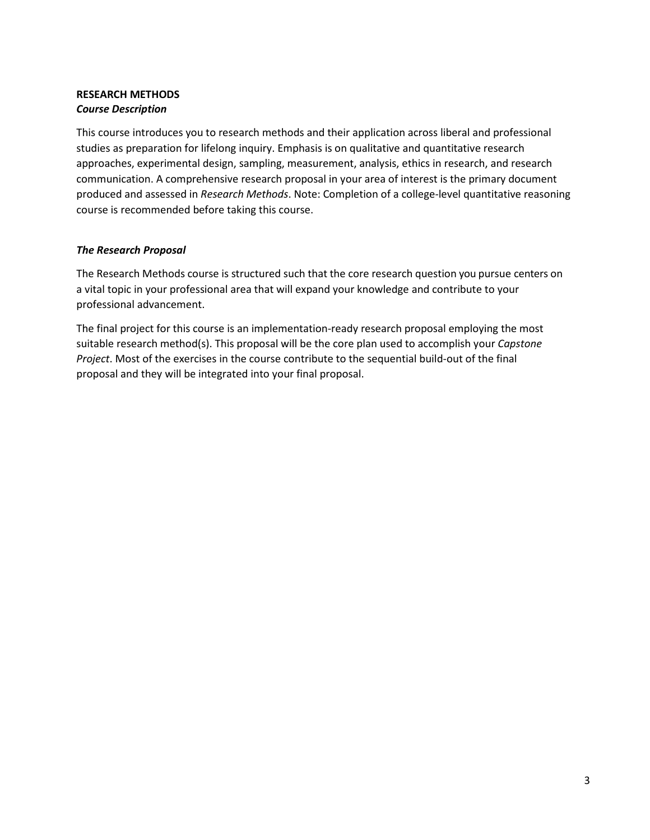## <span id="page-2-1"></span><span id="page-2-0"></span>**RESEARCH METHODS** *Course Description*

This course introduces you to research methods and their application across liberal and professional studies as preparation for lifelong inquiry. Emphasis is on qualitative and quantitative research approaches, experimental design, sampling, measurement, analysis, ethics in research, and research communication. A comprehensive research proposal in your area of interest is the primary document produced and assessed in *Research Methods*. Note: Completion of a college-level quantitative reasoning course is recommended before taking this course.

## <span id="page-2-2"></span>*The Research Proposal*

The Research Methods course is structured such that the core research question you pursue centers on a vital topic in your professional area that will expand your knowledge and contribute to your professional advancement.

The final project for this course is an implementation-ready research proposal employing the most suitable research method(s). This proposal will be the core plan used to accomplish your *Capstone Project*. Most of the exercises in the course contribute to the sequential build-out of the final proposal and they will be integrated into your final proposal.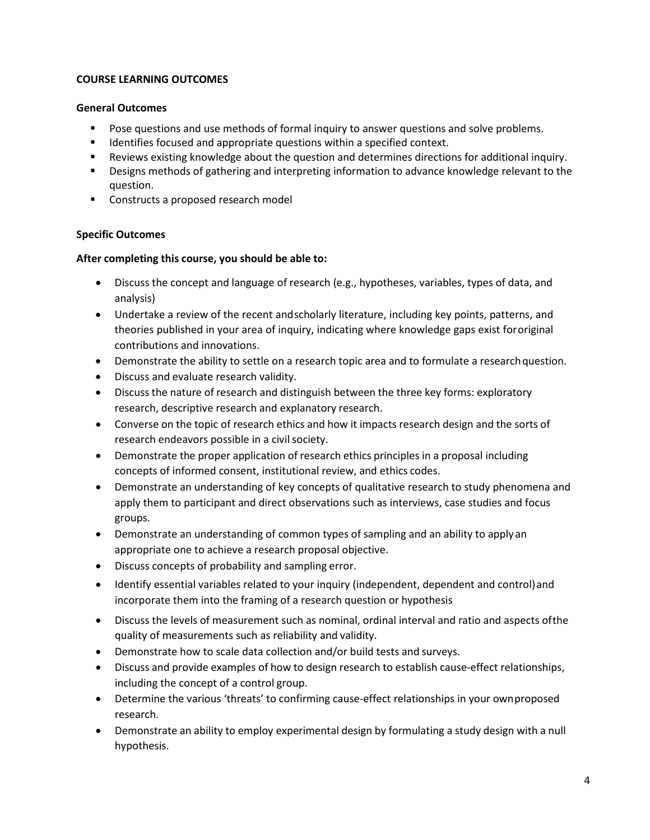## <span id="page-3-0"></span>**COURSE LEARNING OUTCOMES**

## <span id="page-3-1"></span>**General Outcomes**

- Pose questions and use methods of formal inquiry to answer questions and solve problems.
- Identifies focused and appropriate questions within a specified context.
- Reviews existing knowledge about the question and determines directions for additional inquiry.
- Designs methods of gathering and interpreting information to advance knowledge relevant to the question.
- Constructs a proposed research model

## <span id="page-3-2"></span>**Specific Outcomes**

## **After completing this course, you should be able to:**

- Discuss the concept and language of research (e.g., hypotheses, variables, types of data, and analysis)
- Undertake a review of the recent andscholarly literature, including key points, patterns, and theories published in your area of inquiry, indicating where knowledge gaps exist fororiginal contributions and innovations.
- Demonstrate the ability to settle on a research topic area and to formulate a research question.
- Discuss and evaluate research validity.
- Discuss the nature of research and distinguish between the three key forms: exploratory research, descriptive research and explanatory research.
- Converse on the topic of research ethics and how it impacts research design and the sorts of research endeavors possible in a civil society.
- Demonstrate the proper application of research ethics principles in a proposal including concepts of informed consent, institutional review, and ethics codes.
- Demonstrate an understanding of key concepts of qualitative research to study phenomena and apply them to participant and direct observations such as interviews, case studies and focus groups.
- Demonstrate an understanding of common types of sampling and an ability to applyan appropriate one to achieve a research proposal objective.
- Discuss concepts of probability and sampling error.
- Identify essential variables related to your inquiry (independent, dependent and control) and incorporate them into the framing of a research question or hypothesis
- Discuss the levels of measurement such as nominal, ordinal interval and ratio and aspects ofthe quality of measurements such as reliability and validity.
- Demonstrate how to scale data collection and/or build tests and surveys.
- Discuss and provide examples of how to design research to establish cause-effect relationships, including the concept of a control group.
- Determine the various 'threats' to confirming cause-effect relationships in your ownproposed research.
- Demonstrate an ability to employ experimental design by formulating a study design with a null hypothesis.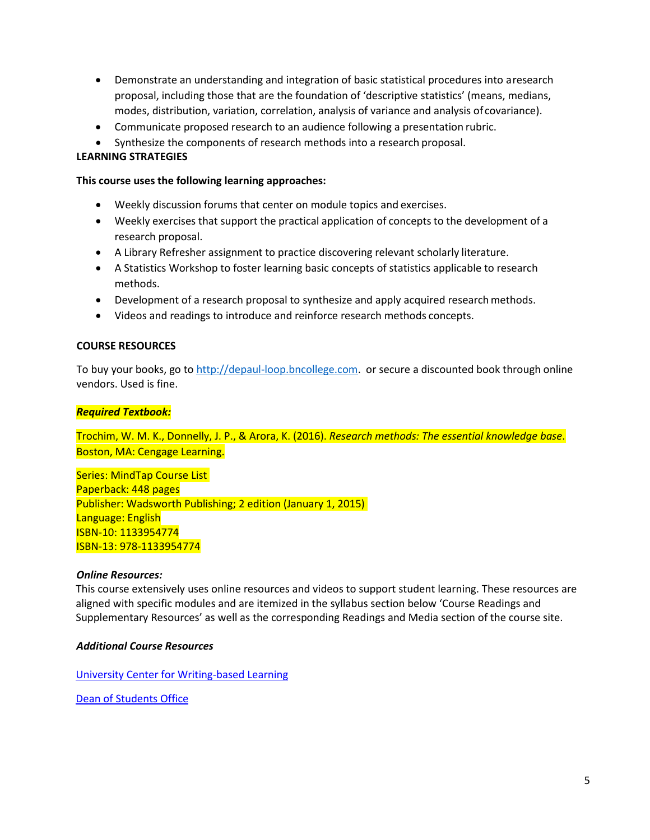- Demonstrate an understanding and integration of basic statistical procedures into aresearch proposal, including those that are the foundation of 'descriptive statistics' (means, medians, modes, distribution, variation, correlation, analysis of variance and analysis of covariance).
- Communicate proposed research to an audience following a presentation rubric.
- Synthesize the components of research methods into a research proposal.

## <span id="page-4-0"></span>**LEARNING STRATEGIES**

### **This course uses the following learning approaches:**

- Weekly discussion forums that center on module topics and exercises.
- Weekly exercises that support the practical application of concepts to the development of a research proposal.
- A Library Refresher assignment to practice discovering relevant scholarly literature.
- A Statistics Workshop to foster learning basic concepts of statistics applicable to research methods.
- Development of a research proposal to synthesize and apply acquired research methods.
- Videos and readings to introduce and reinforce research methods concepts.

## <span id="page-4-1"></span>**COURSE RESOURCES**

To buy your books, go to [http://depaul-loop.bncollege.com.](http://depaul-loop.bncollege.com/) or secure a discounted book through online vendors. Used is fine.

## <span id="page-4-2"></span>*Required Textbook:*

Trochim, W. M. K., Donnelly, J. P., & Arora, K. (2016). *Research methods: The essential knowledge base*. Boston, MA: Cengage Learning.

Series: MindTap Course List Paperback: 448 pages Publisher: Wadsworth Publishing; 2 edition (January 1, 2015) Language: English ISBN-10: 1133954774 ISBN-13: 978-1133954774

## <span id="page-4-3"></span>*Online Resources:*

This course extensively uses online resources and videos to support student learning. These resources are aligned with specific modules and are itemized in the syllabus section below 'Course Readings and Supplementary Resources' as well as the corresponding Readings and Media section of the course site.

## <span id="page-4-4"></span>*Additional Course Resources*

[University Center for Writing-based Learning](http://condor.depaul.edu/writing/)

[Dean of Students Office](https://offices.depaul.edu/student-affairs/about/departments/Pages/dos.aspx)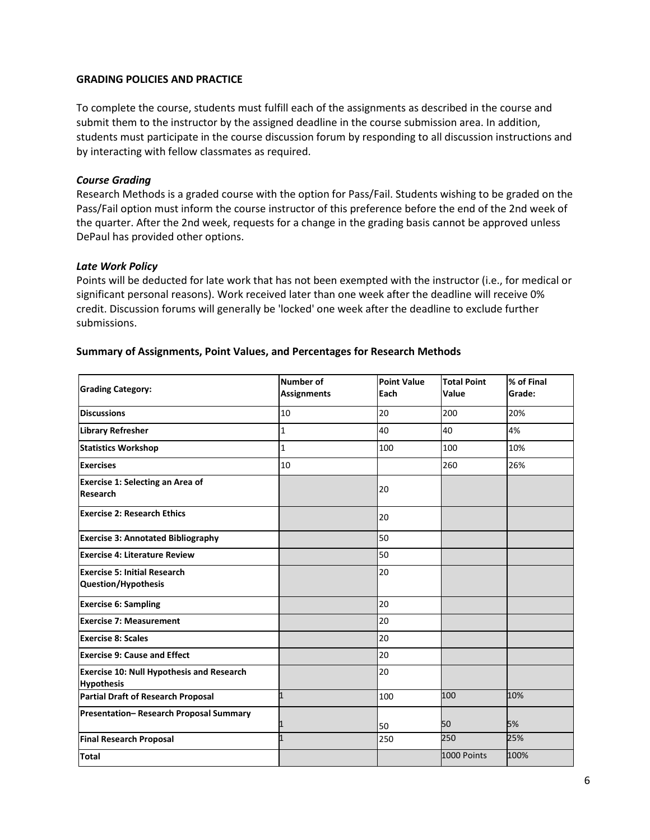### <span id="page-5-0"></span>**GRADING POLICIES AND PRACTICE**

To complete the course, students must fulfill each of the assignments as described in the course and submit them to the instructor by the assigned deadline in the course submission area. In addition, students must participate in the course discussion forum by responding to all discussion instructions and by interacting with fellow classmates as required.

#### <span id="page-5-1"></span>*Course Grading*

Research Methods is a graded course with the option for Pass/Fail. Students wishing to be graded on the Pass/Fail option must inform the course instructor of this preference before the end of the 2nd week of the quarter. After the 2nd week, requests for a change in the grading basis cannot be approved unless DePaul has provided other options.

#### <span id="page-5-2"></span>*Late Work Policy*

Points will be deducted for late work that has not been exempted with the instructor (i.e., for medical or significant personal reasons). Work received later than one week after the deadline will receive 0% credit. Discussion forums will generally be 'locked' one week after the deadline to exclude further submissions.

| <b>Grading Category:</b>                                              | <b>Number of</b><br><b>Assignments</b> | <b>Point Value</b><br>Each | <b>Total Point</b><br>Value | % of Final<br>Grade: |
|-----------------------------------------------------------------------|----------------------------------------|----------------------------|-----------------------------|----------------------|
| <b>Discussions</b>                                                    | 10                                     | 20                         | 200                         | 20%                  |
| <b>Library Refresher</b>                                              | $\mathbf 1$                            | 40                         | 40                          | 4%                   |
| <b>Statistics Workshop</b>                                            | 1                                      | 100                        | 100                         | 10%                  |
| <b>Exercises</b>                                                      | 10                                     |                            | 260                         | 26%                  |
| Exercise 1: Selecting an Area of<br>Research                          |                                        | 20                         |                             |                      |
| <b>Exercise 2: Research Ethics</b>                                    |                                        | 20                         |                             |                      |
| <b>Exercise 3: Annotated Bibliography</b>                             |                                        | 50                         |                             |                      |
| <b>Exercise 4: Literature Review</b>                                  |                                        | 50                         |                             |                      |
| <b>Exercise 5: Initial Research</b><br><b>Question/Hypothesis</b>     |                                        | 20                         |                             |                      |
| <b>Exercise 6: Sampling</b>                                           |                                        | 20                         |                             |                      |
| <b>Exercise 7: Measurement</b>                                        |                                        | 20                         |                             |                      |
| <b>Exercise 8: Scales</b>                                             |                                        | 20                         |                             |                      |
| <b>Exercise 9: Cause and Effect</b>                                   |                                        | 20                         |                             |                      |
| <b>Exercise 10: Null Hypothesis and Research</b><br><b>Hypothesis</b> |                                        | 20                         |                             |                      |
| <b>Partial Draft of Research Proposal</b>                             | $\mathbf{1}$                           | 100                        | 100                         | 10%                  |
| Presentation-Research Proposal Summary                                | 1                                      | 50                         | 50                          | 5%                   |
| <b>Final Research Proposal</b>                                        | $\mathbf{1}$                           | 250                        | 250                         | 25%                  |
| <b>Total</b>                                                          |                                        |                            | 1000 Points                 | 100%                 |

#### <span id="page-5-3"></span>**Summary of Assignments, Point Values, and Percentages for Research Methods**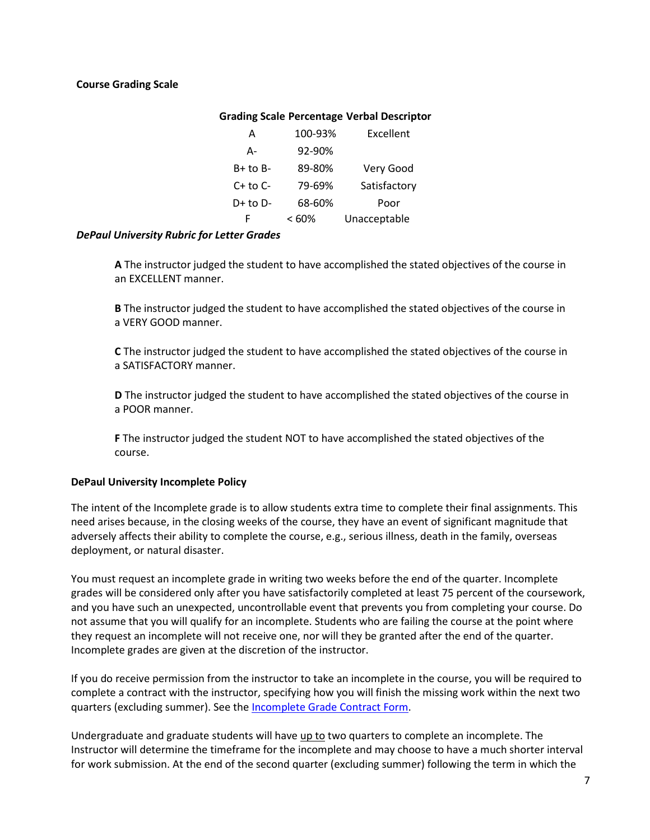## <span id="page-6-0"></span>**Course Grading Scale**

## **Grading Scale Percentage Verbal Descriptor**

| A            | 100-93%  | Excellent    |
|--------------|----------|--------------|
| А-           | 92-90%   |              |
| $B+$ to $B-$ | 89-80%   | Very Good    |
| $C+$ to $C-$ | 79-69%   | Satisfactory |
| $D+$ to $D-$ | 68-60%   | Poor         |
| F            | $< 60\%$ | Unacceptable |

#### <span id="page-6-1"></span>*DePaul University Rubric for Letter Grades*

**A** The instructor judged the student to have accomplished the stated objectives of the course in an EXCELLENT manner.

**B** The instructor judged the student to have accomplished the stated objectives of the course in a VERY GOOD manner.

**C** The instructor judged the student to have accomplished the stated objectives of the course in a SATISFACTORY manner.

**D** The instructor judged the student to have accomplished the stated objectives of the course in a POOR manner.

**F** The instructor judged the student NOT to have accomplished the stated objectives of the course.

## **DePaul University Incomplete Policy**

The intent of the Incomplete grade is to allow students extra time to complete their final assignments. This need arises because, in the closing weeks of the course, they have an event of significant magnitude that adversely affects their ability to complete the course, e.g., serious illness, death in the family, overseas deployment, or natural disaster.

You must request an incomplete grade in writing two weeks before the end of the quarter. Incomplete grades will be considered only after you have satisfactorily completed at least 75 percent of the coursework, and you have such an unexpected, uncontrollable event that prevents you from completing your course. Do not assume that you will qualify for an incomplete. Students who are failing the course at the point where they request an incomplete will not receive one, nor will they be granted after the end of the quarter. Incomplete grades are given at the discretion of the instructor.

If you do receive permission from the instructor to take an incomplete in the course, you will be required to complete a contract with the instructor, specifying how you will finish the missing work within the next two quarters (excluding summer). See the [Incomplete Grade Contract Form.](http://snl.depaul.edu/WebMedia/StudentResources/incomplete_contract.doc)

Undergraduate and graduate students will have up to two quarters to complete an incomplete. The Instructor will determine the timeframe for the incomplete and may choose to have a much shorter interval for work submission. At the end of the second quarter (excluding summer) following the term in which the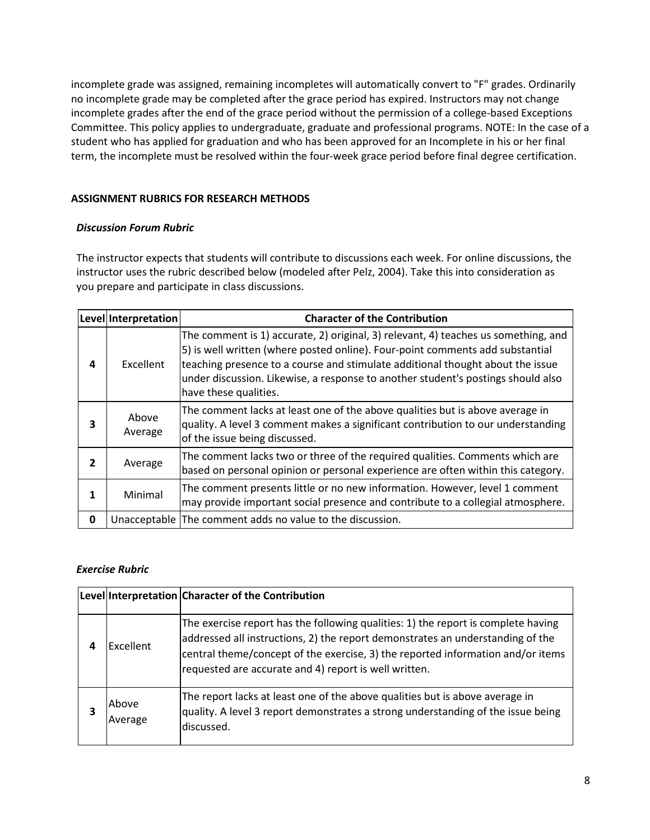incomplete grade was assigned, remaining incompletes will automatically convert to "F" grades. Ordinarily no incomplete grade may be completed after the grace period has expired. Instructors may not change incomplete grades after the end of the grace period without the permission of a college-based Exceptions Committee. This policy applies to undergraduate, graduate and professional programs. NOTE: In the case of a student who has applied for graduation and who has been approved for an Incomplete in his or her final term, the incomplete must be resolved within the four-week grace period before final degree certification.

## <span id="page-7-0"></span>**ASSIGNMENT RUBRICS FOR RESEARCH METHODS**

## <span id="page-7-1"></span>*Discussion Forum Rubric*

The instructor expects that students will contribute to discussions each week. For online discussions, the instructor uses the rubric described below (modeled after Pelz, 2004). Take this into consideration as you prepare and participate in class discussions.

|              | Level Interpretation | <b>Character of the Contribution</b>                                                                                                                                                                                                                                                                                                                                |
|--------------|----------------------|---------------------------------------------------------------------------------------------------------------------------------------------------------------------------------------------------------------------------------------------------------------------------------------------------------------------------------------------------------------------|
| 4            | Excellent            | The comment is 1) accurate, 2) original, 3) relevant, 4) teaches us something, and<br>[5] is well written (where posted online). Four-point comments add substantial<br>teaching presence to a course and stimulate additional thought about the issue<br>under discussion. Likewise, a response to another student's postings should also<br>have these qualities. |
| 3            | Above<br>Average     | The comment lacks at least one of the above qualities but is above average in<br>quality. A level 3 comment makes a significant contribution to our understanding<br>of the issue being discussed.                                                                                                                                                                  |
| $\mathbf{z}$ | Average              | The comment lacks two or three of the required qualities. Comments which are<br>based on personal opinion or personal experience are often within this category.                                                                                                                                                                                                    |
| 1            | Minimal              | The comment presents little or no new information. However, level 1 comment<br>may provide important social presence and contribute to a collegial atmosphere.                                                                                                                                                                                                      |
| 0            |                      | Unacceptable The comment adds no value to the discussion.                                                                                                                                                                                                                                                                                                           |

## <span id="page-7-2"></span>*Exercise Rubric*

|   |                  | Level Interpretation Character of the Contribution                                                                                                                                                                                                                                                              |
|---|------------------|-----------------------------------------------------------------------------------------------------------------------------------------------------------------------------------------------------------------------------------------------------------------------------------------------------------------|
| 4 | Excellent        | The exercise report has the following qualities: 1) the report is complete having<br>addressed all instructions, 2) the report demonstrates an understanding of the<br>central theme/concept of the exercise, 3) the reported information and/or items<br>requested are accurate and 4) report is well written. |
| 3 | Above<br>Average | The report lacks at least one of the above qualities but is above average in<br>quality. A level 3 report demonstrates a strong understanding of the issue being<br>discussed.                                                                                                                                  |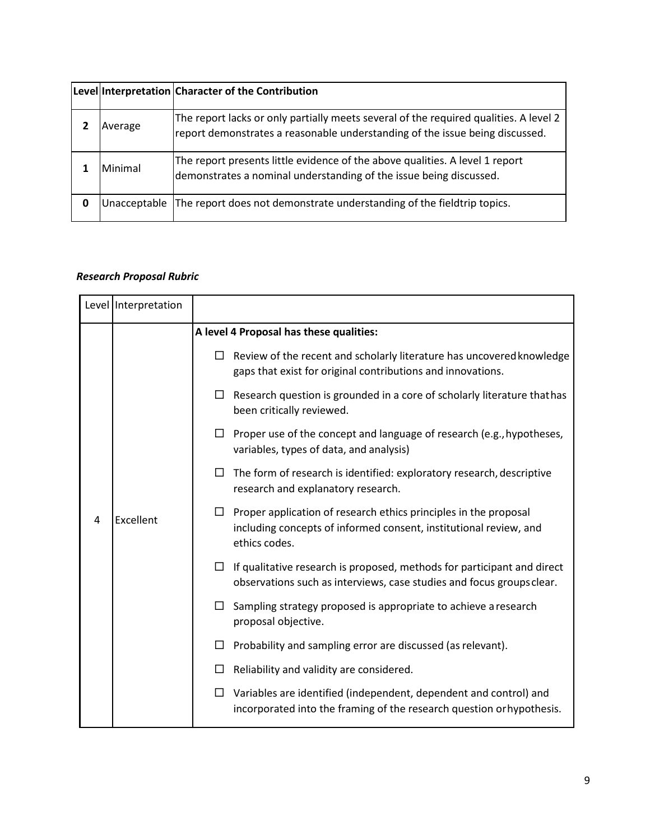|   |              | Level Interpretation Character of the Contribution                                                                                                                    |
|---|--------------|-----------------------------------------------------------------------------------------------------------------------------------------------------------------------|
|   | Average      | The report lacks or only partially meets several of the required qualities. A level 2<br>report demonstrates a reasonable understanding of the issue being discussed. |
|   | Minimal      | The report presents little evidence of the above qualities. A level 1 report<br>demonstrates a nominal understanding of the issue being discussed.                    |
| 0 | Unacceptable | The report does not demonstrate understanding of the fieldtrip topics.                                                                                                |

## <span id="page-8-0"></span>*Research Proposal Rubric*

|   | Level   Interpretation |        |                                                                                                                                                               |
|---|------------------------|--------|---------------------------------------------------------------------------------------------------------------------------------------------------------------|
|   |                        |        | A level 4 Proposal has these qualities:                                                                                                                       |
|   |                        |        | $\Box$ Review of the recent and scholarly literature has uncovered knowledge<br>gaps that exist for original contributions and innovations.                   |
|   |                        | $\Box$ | Research question is grounded in a core of scholarly literature that has<br>been critically reviewed.                                                         |
|   |                        |        | $\Box$ Proper use of the concept and language of research (e.g., hypotheses,<br>variables, types of data, and analysis)                                       |
|   |                        | $\Box$ | The form of research is identified: exploratory research, descriptive<br>research and explanatory research.                                                   |
| 4 | Excellent              |        | $\Box$ Proper application of research ethics principles in the proposal<br>including concepts of informed consent, institutional review, and<br>ethics codes. |
|   |                        |        | $\Box$ If qualitative research is proposed, methods for participant and direct<br>observations such as interviews, case studies and focus groups clear.       |
|   |                        | $\Box$ | Sampling strategy proposed is appropriate to achieve a research<br>proposal objective.                                                                        |
|   |                        |        | $\Box$ Probability and sampling error are discussed (as relevant).                                                                                            |
|   |                        | ш      | Reliability and validity are considered.                                                                                                                      |
|   |                        | □      | Variables are identified (independent, dependent and control) and<br>incorporated into the framing of the research question or hypothesis.                    |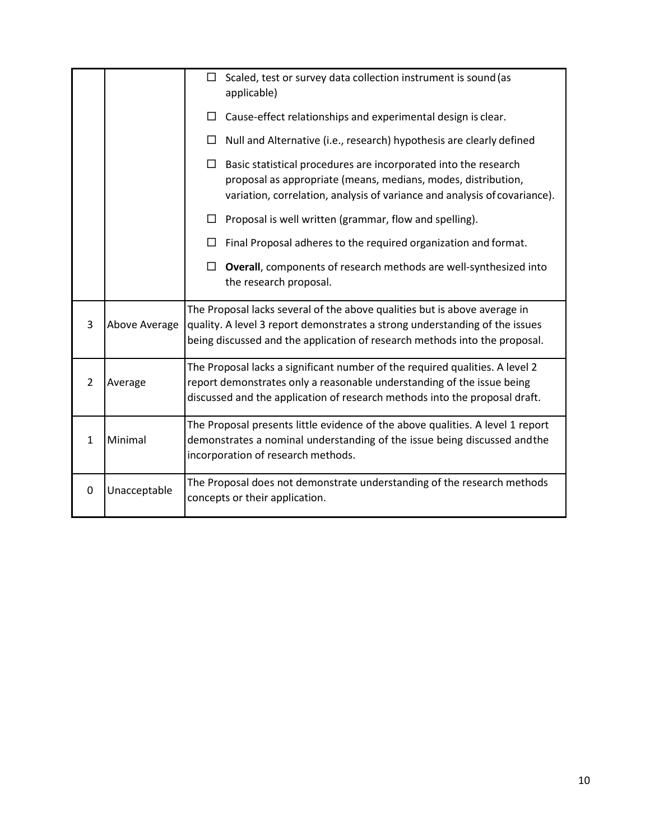|              |               | Scaled, test or survey data collection instrument is sound (as<br>$\Box$<br>applicable)                                                                                                                                                |  |
|--------------|---------------|----------------------------------------------------------------------------------------------------------------------------------------------------------------------------------------------------------------------------------------|--|
|              |               | Cause-effect relationships and experimental design is clear.<br>$\Box$                                                                                                                                                                 |  |
|              |               | Null and Alternative (i.e., research) hypothesis are clearly defined<br>⊔                                                                                                                                                              |  |
|              |               | $\Box$ Basic statistical procedures are incorporated into the research<br>proposal as appropriate (means, medians, modes, distribution,<br>variation, correlation, analysis of variance and analysis of covariance).                   |  |
|              |               | Proposal is well written (grammar, flow and spelling).                                                                                                                                                                                 |  |
|              |               | Final Proposal adheres to the required organization and format.                                                                                                                                                                        |  |
|              |               | Overall, components of research methods are well-synthesized into<br>$\Box$<br>the research proposal.                                                                                                                                  |  |
| 3            | Above Average | The Proposal lacks several of the above qualities but is above average in<br>quality. A level 3 report demonstrates a strong understanding of the issues<br>being discussed and the application of research methods into the proposal. |  |
| 2            | Average       | The Proposal lacks a significant number of the required qualities. A level 2<br>report demonstrates only a reasonable understanding of the issue being<br>discussed and the application of research methods into the proposal draft.   |  |
| $\mathbf{1}$ | Minimal       | The Proposal presents little evidence of the above qualities. A level 1 report<br>demonstrates a nominal understanding of the issue being discussed and the<br>incorporation of research methods.                                      |  |
| 0            | Unacceptable  | The Proposal does not demonstrate understanding of the research methods<br>concepts or their application.                                                                                                                              |  |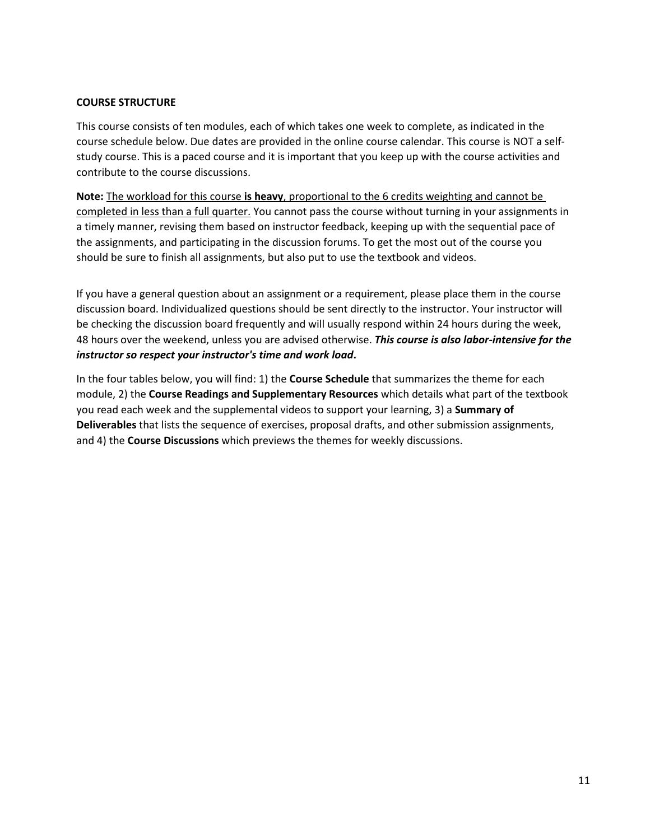## <span id="page-10-0"></span>**COURSE STRUCTURE**

This course consists of ten modules, each of which takes one week to complete, as indicated in the course schedule below. Due dates are provided in the online course calendar. This course is NOT a selfstudy course. This is a paced course and it is important that you keep up with the course activities and contribute to the course discussions.

**Note:** The workload for this course **is heavy**, proportional to the 6 credits weighting and cannot be completed in less than a full quarter. You cannot pass the course without turning in your assignments in a timely manner, revising them based on instructor feedback, keeping up with the sequential pace of the assignments, and participating in the discussion forums. To get the most out of the course you should be sure to finish all assignments, but also put to use the textbook and videos.

If you have a general question about an assignment or a requirement, please place them in the course discussion board. Individualized questions should be sent directly to the instructor. Your instructor will be checking the discussion board frequently and will usually respond within 24 hours during the week, 48 hours over the weekend, unless you are advised otherwise. *This course is also labor-intensive for the instructor so respect your instructor's time and work load***.**

In the four tables below, you will find: 1) the **Course Schedule** that summarizes the theme for each module, 2) the **Course Readings and Supplementary Resources** which details what part of the textbook you read each week and the supplemental videos to support your learning, 3) a **Summary of Deliverables** that lists the sequence of exercises, proposal drafts, and other submission assignments, and 4) the **Course Discussions** which previews the themes for weekly discussions.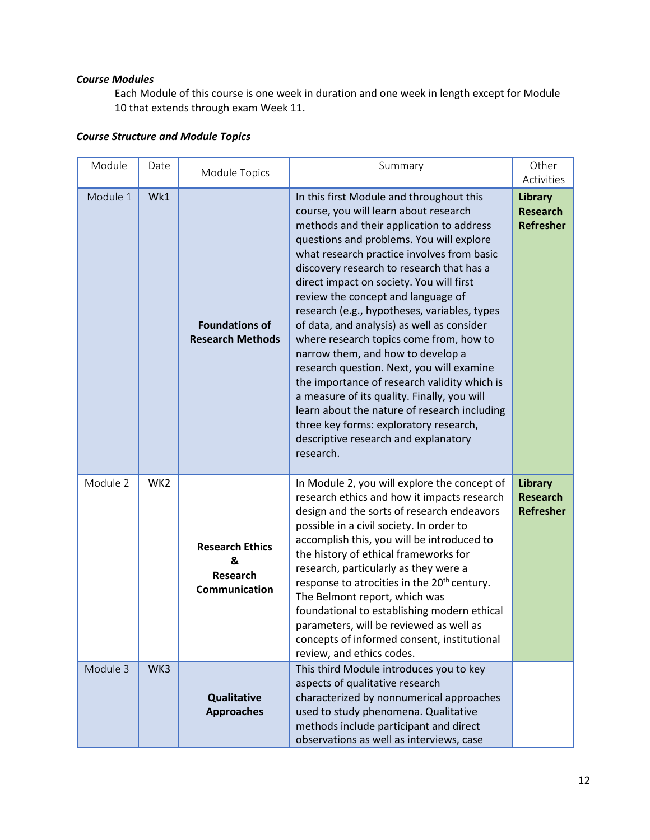## <span id="page-11-0"></span>*Course Modules*

Each Module of this course is one week in duration and one week in length except for Module 10 that extends through exam Week 11.

## <span id="page-11-1"></span>*Course Structure and Module Topics*

| Module   | Date            | Module Topics                                                   | Summary                                                                                                                                                                                                                                                                                                                                                                                                                                                                                                                                                                                                                                                                                                                                                                                                                         | Other<br>Activities                                   |
|----------|-----------------|-----------------------------------------------------------------|---------------------------------------------------------------------------------------------------------------------------------------------------------------------------------------------------------------------------------------------------------------------------------------------------------------------------------------------------------------------------------------------------------------------------------------------------------------------------------------------------------------------------------------------------------------------------------------------------------------------------------------------------------------------------------------------------------------------------------------------------------------------------------------------------------------------------------|-------------------------------------------------------|
| Module 1 | Wk1             | <b>Foundations of</b><br><b>Research Methods</b>                | In this first Module and throughout this<br>course, you will learn about research<br>methods and their application to address<br>questions and problems. You will explore<br>what research practice involves from basic<br>discovery research to research that has a<br>direct impact on society. You will first<br>review the concept and language of<br>research (e.g., hypotheses, variables, types<br>of data, and analysis) as well as consider<br>where research topics come from, how to<br>narrow them, and how to develop a<br>research question. Next, you will examine<br>the importance of research validity which is<br>a measure of its quality. Finally, you will<br>learn about the nature of research including<br>three key forms: exploratory research,<br>descriptive research and explanatory<br>research. | <b>Library</b><br><b>Research</b><br><b>Refresher</b> |
| Module 2 | WK <sub>2</sub> | <b>Research Ethics</b><br>&<br><b>Research</b><br>Communication | In Module 2, you will explore the concept of<br>research ethics and how it impacts research<br>design and the sorts of research endeavors<br>possible in a civil society. In order to<br>accomplish this, you will be introduced to<br>the history of ethical frameworks for<br>research, particularly as they were a<br>response to atrocities in the 20 <sup>th</sup> century.<br>The Belmont report, which was<br>foundational to establishing modern ethical<br>parameters, will be reviewed as well as<br>concepts of informed consent, institutional<br>review, and ethics codes.                                                                                                                                                                                                                                         | <b>Library</b><br><b>Research</b><br><b>Refresher</b> |
| Module 3 | WK3             | <b>Qualitative</b><br><b>Approaches</b>                         | This third Module introduces you to key<br>aspects of qualitative research<br>characterized by nonnumerical approaches<br>used to study phenomena. Qualitative<br>methods include participant and direct<br>observations as well as interviews, case                                                                                                                                                                                                                                                                                                                                                                                                                                                                                                                                                                            |                                                       |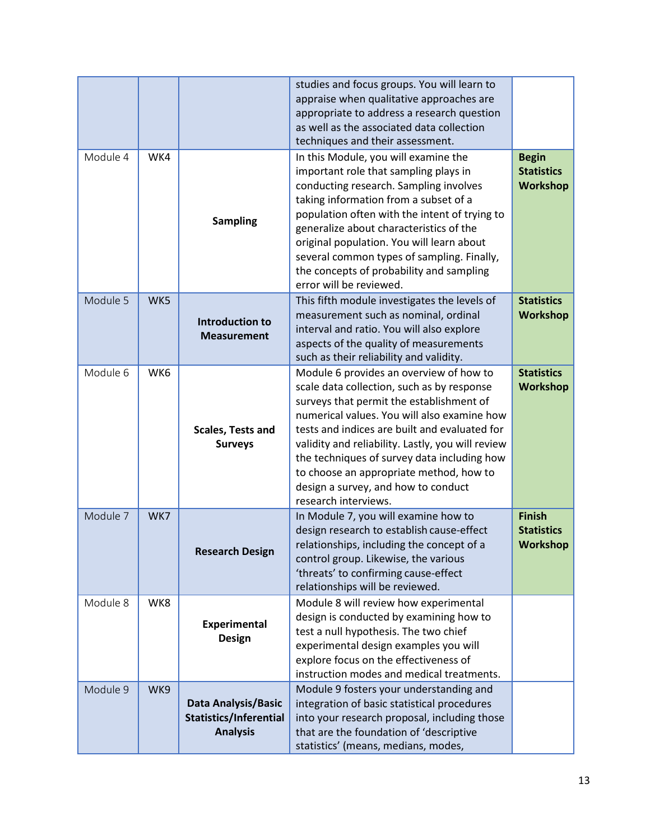|          |     |                                                                                | studies and focus groups. You will learn to<br>appraise when qualitative approaches are<br>appropriate to address a research question<br>as well as the associated data collection<br>techniques and their assessment.                                                                                                                                                                                                                          |                                                       |
|----------|-----|--------------------------------------------------------------------------------|-------------------------------------------------------------------------------------------------------------------------------------------------------------------------------------------------------------------------------------------------------------------------------------------------------------------------------------------------------------------------------------------------------------------------------------------------|-------------------------------------------------------|
| Module 4 | WK4 | <b>Sampling</b>                                                                | In this Module, you will examine the<br>important role that sampling plays in<br>conducting research. Sampling involves<br>taking information from a subset of a<br>population often with the intent of trying to<br>generalize about characteristics of the<br>original population. You will learn about<br>several common types of sampling. Finally,<br>the concepts of probability and sampling<br>error will be reviewed.                  | <b>Begin</b><br><b>Statistics</b><br><b>Workshop</b>  |
| Module 5 | WK5 | <b>Introduction to</b><br><b>Measurement</b>                                   | This fifth module investigates the levels of<br>measurement such as nominal, ordinal<br>interval and ratio. You will also explore<br>aspects of the quality of measurements<br>such as their reliability and validity.                                                                                                                                                                                                                          | <b>Statistics</b><br><b>Workshop</b>                  |
| Module 6 | WK6 | Scales, Tests and<br><b>Surveys</b>                                            | Module 6 provides an overview of how to<br>scale data collection, such as by response<br>surveys that permit the establishment of<br>numerical values. You will also examine how<br>tests and indices are built and evaluated for<br>validity and reliability. Lastly, you will review<br>the techniques of survey data including how<br>to choose an appropriate method, how to<br>design a survey, and how to conduct<br>research interviews. | <b>Statistics</b><br><b>Workshop</b>                  |
| Module 7 | WK7 | <b>Research Design</b>                                                         | In Module 7, you will examine how to<br>design research to establish cause-effect<br>relationships, including the concept of a<br>control group. Likewise, the various<br>'threats' to confirming cause-effect<br>relationships will be reviewed.                                                                                                                                                                                               | <b>Finish</b><br><b>Statistics</b><br><b>Workshop</b> |
| Module 8 | WK8 | <b>Experimental</b><br><b>Design</b>                                           | Module 8 will review how experimental<br>design is conducted by examining how to<br>test a null hypothesis. The two chief<br>experimental design examples you will<br>explore focus on the effectiveness of<br>instruction modes and medical treatments.                                                                                                                                                                                        |                                                       |
| Module 9 | WK9 | <b>Data Analysis/Basic</b><br><b>Statistics/Inferential</b><br><b>Analysis</b> | Module 9 fosters your understanding and<br>integration of basic statistical procedures<br>into your research proposal, including those<br>that are the foundation of 'descriptive<br>statistics' (means, medians, modes,                                                                                                                                                                                                                        |                                                       |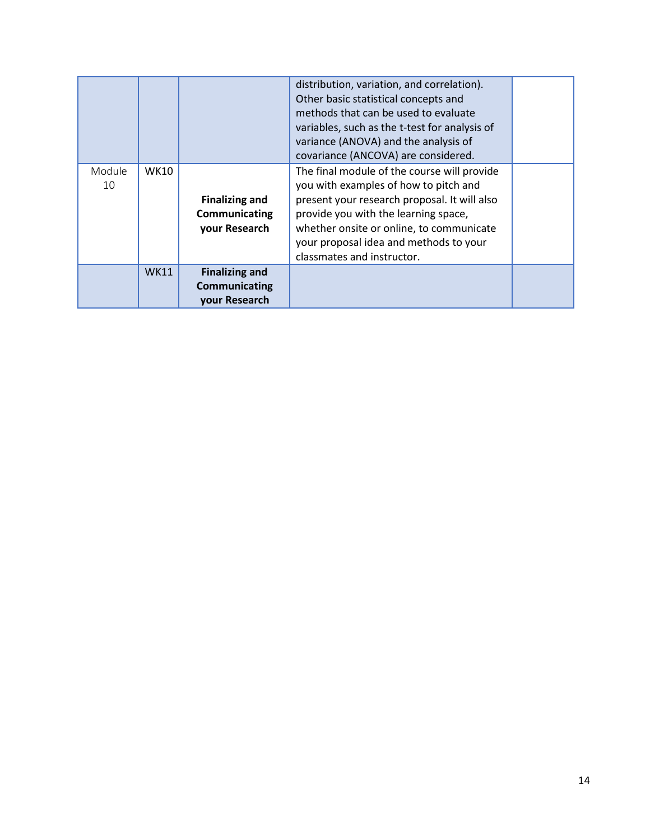|              |             |                                                         | distribution, variation, and correlation).<br>Other basic statistical concepts and<br>methods that can be used to evaluate<br>variables, such as the t-test for analysis of<br>variance (ANOVA) and the analysis of<br>covariance (ANCOVA) are considered.                                       |  |
|--------------|-------------|---------------------------------------------------------|--------------------------------------------------------------------------------------------------------------------------------------------------------------------------------------------------------------------------------------------------------------------------------------------------|--|
| Module<br>10 | WK10        | <b>Finalizing and</b><br>Communicating<br>your Research | The final module of the course will provide<br>you with examples of how to pitch and<br>present your research proposal. It will also<br>provide you with the learning space,<br>whether onsite or online, to communicate<br>your proposal idea and methods to your<br>classmates and instructor. |  |
|              | <b>WK11</b> | <b>Finalizing and</b><br>Communicating<br>your Research |                                                                                                                                                                                                                                                                                                  |  |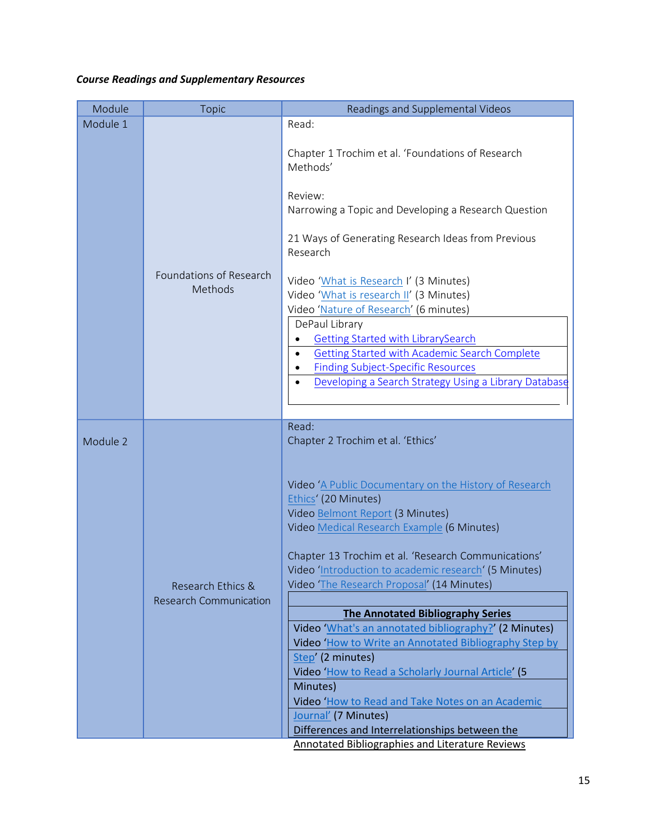## <span id="page-14-0"></span>*Course Readings and Supplementary Resources*

<span id="page-14-1"></span>

| Module 1<br>Read:<br>Chapter 1 Trochim et al. 'Foundations of Research<br>Methods'<br>Review:                                                                                                                                                                                                                                                                                                        |  |
|------------------------------------------------------------------------------------------------------------------------------------------------------------------------------------------------------------------------------------------------------------------------------------------------------------------------------------------------------------------------------------------------------|--|
| Narrowing a Topic and Developing a Research Question<br>21 Ways of Generating Research Ideas from Previous<br>Research                                                                                                                                                                                                                                                                               |  |
| Foundations of Research<br>Video 'What is Research I' (3 Minutes)<br>Methods<br>Video 'What is research II' (3 Minutes)<br>Video 'Nature of Research' (6 minutes)<br>DePaul Library<br><b>Getting Started with LibrarySearch</b><br>Getting Started with Academic Search Complete<br><b>Finding Subject-Specific Resources</b><br>Developing a Search Strategy Using a Library Database<br>$\bullet$ |  |
| Read:<br>Chapter 2 Trochim et al. 'Ethics'<br>Module 2                                                                                                                                                                                                                                                                                                                                               |  |
| Video 'A Public Documentary on the History of Research<br>Ethics' (20 Minutes)<br>Video Belmont Report (3 Minutes)<br>Video Medical Research Example (6 Minutes)<br>Chapter 13 Trochim et al. 'Research Communications'<br>Video 'Introduction to academic research' (5 Minutes)<br>Video 'The Research Proposal' (14 Minutes)<br>Research Ethics &<br><b>Research Communication</b>                 |  |
| <b>The Annotated Bibliography Series</b>                                                                                                                                                                                                                                                                                                                                                             |  |
| Video 'What's an annotated bibliography?' (2 Minutes)<br>Video 'How to Write an Annotated Bibliography Step by<br>Step' (2 minutes)<br>Video 'How to Read a Scholarly Journal Article' (5<br>Minutes)<br>Video 'How to Read and Take Notes on an Academic<br>Journal' (7 Minutes)<br>Differences and Interrelationships between the<br><b>Annotated Bibliographies and Literature Reviews</b>        |  |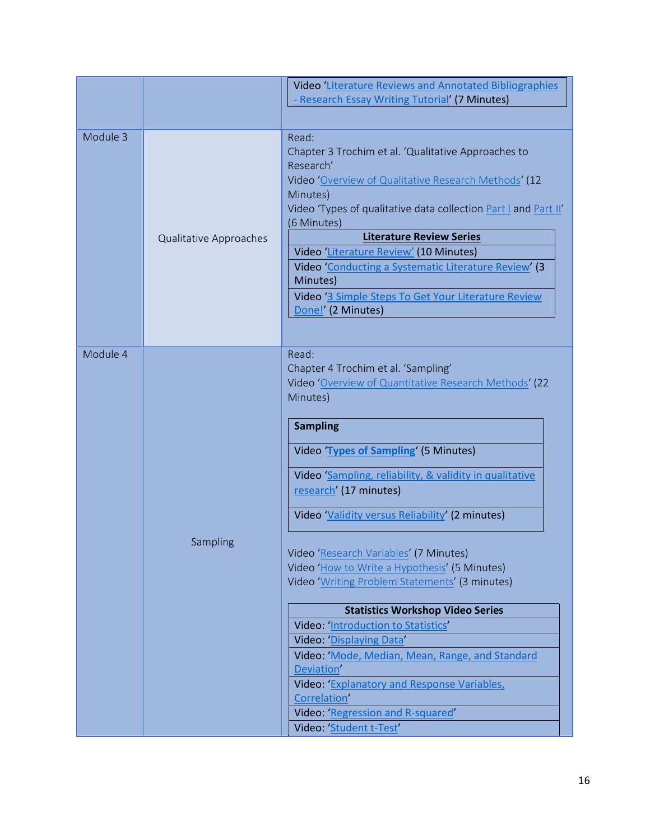|          |                        | Video 'Literature Reviews and Annotated Bibliographies                                                                                                                                                                                                                                                                                                                                                                                                                                                                                                                                                                                                                                                       |
|----------|------------------------|--------------------------------------------------------------------------------------------------------------------------------------------------------------------------------------------------------------------------------------------------------------------------------------------------------------------------------------------------------------------------------------------------------------------------------------------------------------------------------------------------------------------------------------------------------------------------------------------------------------------------------------------------------------------------------------------------------------|
|          |                        | - Research Essay Writing Tutorial' (7 Minutes)                                                                                                                                                                                                                                                                                                                                                                                                                                                                                                                                                                                                                                                               |
|          |                        |                                                                                                                                                                                                                                                                                                                                                                                                                                                                                                                                                                                                                                                                                                              |
| Module 3 | Qualitative Approaches | Read:<br>Chapter 3 Trochim et al. 'Qualitative Approaches to<br>Research'<br>Video 'Overview of Qualitative Research Methods' (12<br>Minutes)<br>Video 'Types of qualitative data collection Part I and Part II'<br>(6 Minutes)<br><b>Literature Review Series</b><br>Video 'Literature Review' (10 Minutes)<br>Video 'Conducting a Systematic Literature Review' (3<br>Minutes)<br>Video '3 Simple Steps To Get Your Literature Review<br>Done!' (2 Minutes)                                                                                                                                                                                                                                                |
| Module 4 | Sampling               | Read:<br>Chapter 4 Trochim et al. 'Sampling'<br>Video 'Overview of Quantitative Research Methods' (22<br>Minutes)<br><b>Sampling</b><br>Video Types of Sampling' (5 Minutes)<br>Video 'Sampling, reliability, & validity in qualitative<br>research' (17 minutes)<br>Video Validity versus Reliability (2 minutes)<br>Video 'Research Variables' (7 Minutes)<br>Video 'How to Write a Hypothesis' (5 Minutes)<br>Video 'Writing Problem Statements' (3 minutes)<br><b>Statistics Workshop Video Series</b><br>Video: 'Introduction to Statistics'<br>Video: 'Displaying Data'<br>Video: 'Mode, Median, Mean, Range, and Standard<br>Deviation'<br>Video: Explanatory and Response Variables,<br>Correlation' |
|          |                        | Video: 'Regression and R-squared'<br>Video: 'Student t-Test'                                                                                                                                                                                                                                                                                                                                                                                                                                                                                                                                                                                                                                                 |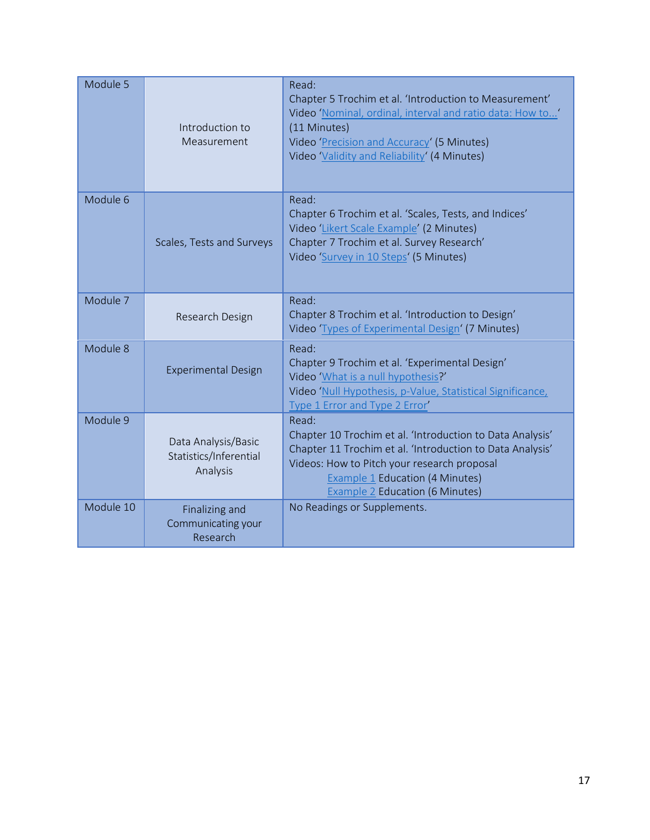| Module 5  | Introduction to<br>Measurement                            | Read:<br>Chapter 5 Trochim et al. 'Introduction to Measurement'<br>Video 'Nominal, ordinal, interval and ratio data: How to'<br>(11 Minutes)<br>Video 'Precision and Accuracy' (5 Minutes)<br>Video 'Validity and Reliability' (4 Minutes)           |
|-----------|-----------------------------------------------------------|------------------------------------------------------------------------------------------------------------------------------------------------------------------------------------------------------------------------------------------------------|
| Module 6  | Scales, Tests and Surveys                                 | Read:<br>Chapter 6 Trochim et al. 'Scales, Tests, and Indices'<br>Video 'Likert Scale Example' (2 Minutes)<br>Chapter 7 Trochim et al. Survey Research'<br>Video 'Survey in 10 Steps' (5 Minutes)                                                    |
| Module 7  | Research Design                                           | Read:<br>Chapter 8 Trochim et al. 'Introduction to Design'<br>Video 'Types of Experimental Design' (7 Minutes)                                                                                                                                       |
| Module 8  | <b>Experimental Design</b>                                | Read:<br>Chapter 9 Trochim et al. 'Experimental Design'<br>Video 'What is a null hypothesis?'<br>Video 'Null Hypothesis, p-Value, Statistical Significance,<br>Type 1 Error and Type 2 Error'                                                        |
| Module 9  | Data Analysis/Basic<br>Statistics/Inferential<br>Analysis | Read:<br>Chapter 10 Trochim et al. 'Introduction to Data Analysis'<br>Chapter 11 Trochim et al. 'Introduction to Data Analysis'<br>Videos: How to Pitch your research proposal<br>Example 1 Education (4 Minutes)<br>Example 2 Education (6 Minutes) |
| Module 10 | Finalizing and<br>Communicating your<br>Research          | No Readings or Supplements.                                                                                                                                                                                                                          |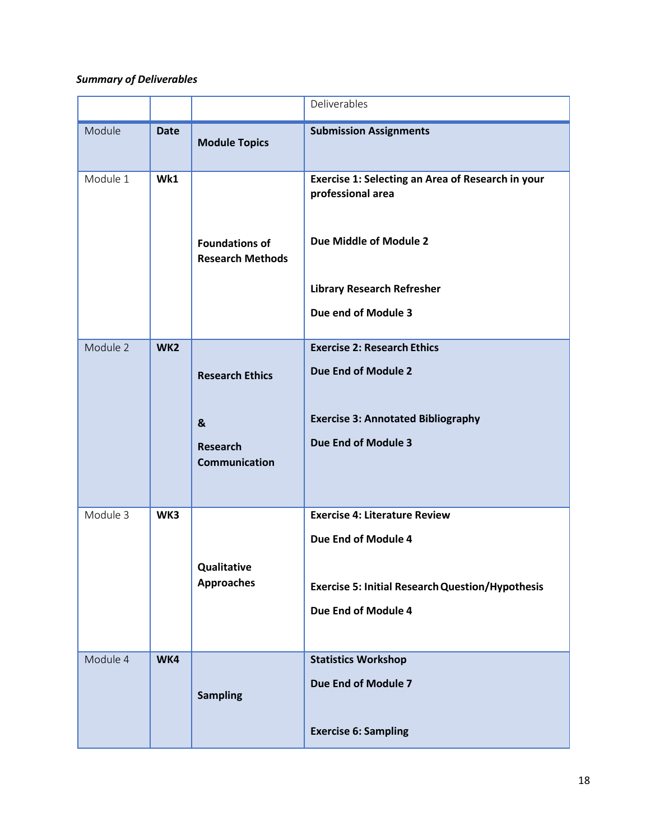## <span id="page-17-0"></span>*Summary of Deliverables*

|          |                 |                                                                                       | Deliverables                                                                                                                                                 |
|----------|-----------------|---------------------------------------------------------------------------------------|--------------------------------------------------------------------------------------------------------------------------------------------------------------|
| Module   | <b>Date</b>     | <b>Module Topics</b>                                                                  | <b>Submission Assignments</b>                                                                                                                                |
| Module 1 | Wk1             | <b>Foundations of</b><br><b>Research Methods</b>                                      | Exercise 1: Selecting an Area of Research in your<br>professional area<br>Due Middle of Module 2<br><b>Library Research Refresher</b><br>Due end of Module 3 |
| Module 2 | WK <sub>2</sub> | <b>Research Ethics</b><br>$\boldsymbol{8}$<br><b>Research</b><br><b>Communication</b> | <b>Exercise 2: Research Ethics</b><br>Due End of Module 2<br><b>Exercise 3: Annotated Bibliography</b><br>Due End of Module 3                                |
| Module 3 | WK3             | Qualitative<br><b>Approaches</b>                                                      | <b>Exercise 4: Literature Review</b><br>Due End of Module 4<br><b>Exercise 5: Initial Research Question/Hypothesis</b><br>Due End of Module 4                |
| Module 4 | WK4             | <b>Sampling</b>                                                                       | <b>Statistics Workshop</b><br>Due End of Module 7<br><b>Exercise 6: Sampling</b>                                                                             |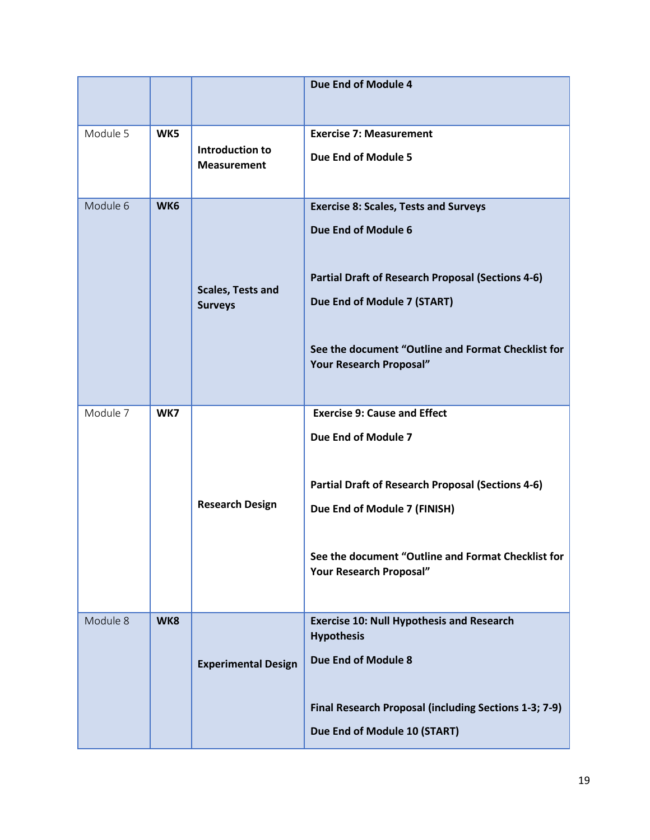|          |     |                                            | Due End of Module 4                                                                                                                                                                                                                             |
|----------|-----|--------------------------------------------|-------------------------------------------------------------------------------------------------------------------------------------------------------------------------------------------------------------------------------------------------|
| Module 5 | WK5 | Introduction to<br><b>Measurement</b>      | <b>Exercise 7: Measurement</b><br>Due End of Module 5                                                                                                                                                                                           |
| Module 6 | WK6 | <b>Scales, Tests and</b><br><b>Surveys</b> | <b>Exercise 8: Scales, Tests and Surveys</b><br>Due End of Module 6<br><b>Partial Draft of Research Proposal (Sections 4-6)</b><br>Due End of Module 7 (START)<br>See the document "Outline and Format Checklist for<br>Your Research Proposal" |
| Module 7 | WK7 | <b>Research Design</b>                     | <b>Exercise 9: Cause and Effect</b><br>Due End of Module 7<br><b>Partial Draft of Research Proposal (Sections 4-6)</b><br>Due End of Module 7 (FINISH)<br>See the document "Outline and Format Checklist for<br>Your Research Proposal"         |
| Module 8 | WK8 | <b>Experimental Design</b>                 | <b>Exercise 10: Null Hypothesis and Research</b><br><b>Hypothesis</b><br>Due End of Module 8<br>Final Research Proposal (including Sections 1-3; 7-9)<br>Due End of Module 10 (START)                                                           |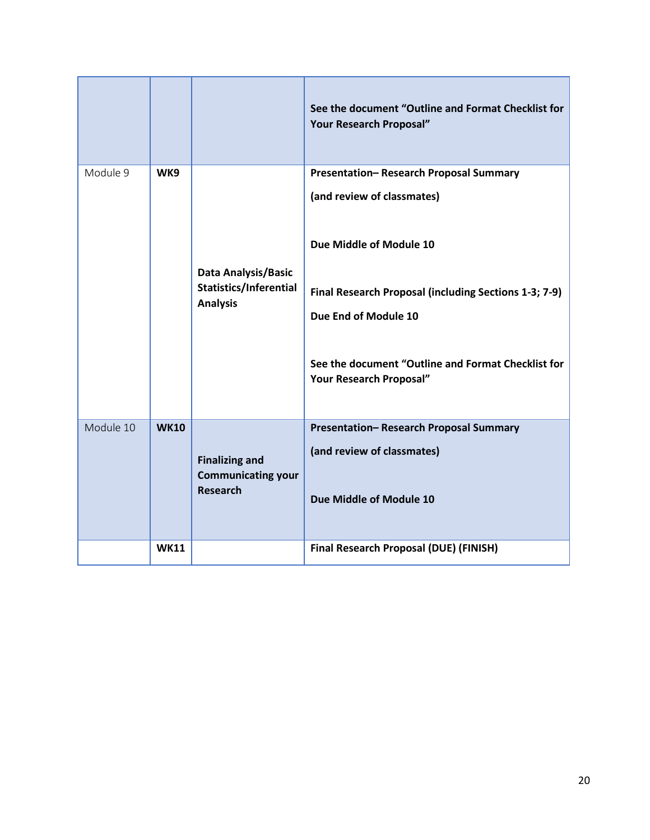|           |             |                                                    | See the document "Outline and Format Checklist for<br>Your Research Proposal" |
|-----------|-------------|----------------------------------------------------|-------------------------------------------------------------------------------|
| Module 9  | WK9         |                                                    | Presentation-Research Proposal Summary                                        |
|           |             |                                                    | (and review of classmates)                                                    |
|           |             | <b>Data Analysis/Basic</b>                         | Due Middle of Module 10                                                       |
|           |             | <b>Statistics/Inferential</b><br><b>Analysis</b>   | Final Research Proposal (including Sections 1-3; 7-9)                         |
|           |             |                                                    | Due End of Module 10                                                          |
|           |             |                                                    | See the document "Outline and Format Checklist for<br>Your Research Proposal" |
| Module 10 | <b>WK10</b> |                                                    | Presentation-Research Proposal Summary                                        |
|           |             | <b>Finalizing and</b><br><b>Communicating your</b> | (and review of classmates)                                                    |
|           |             | <b>Research</b>                                    | Due Middle of Module 10                                                       |
|           | <b>WK11</b> |                                                    | Final Research Proposal (DUE) (FINISH)                                        |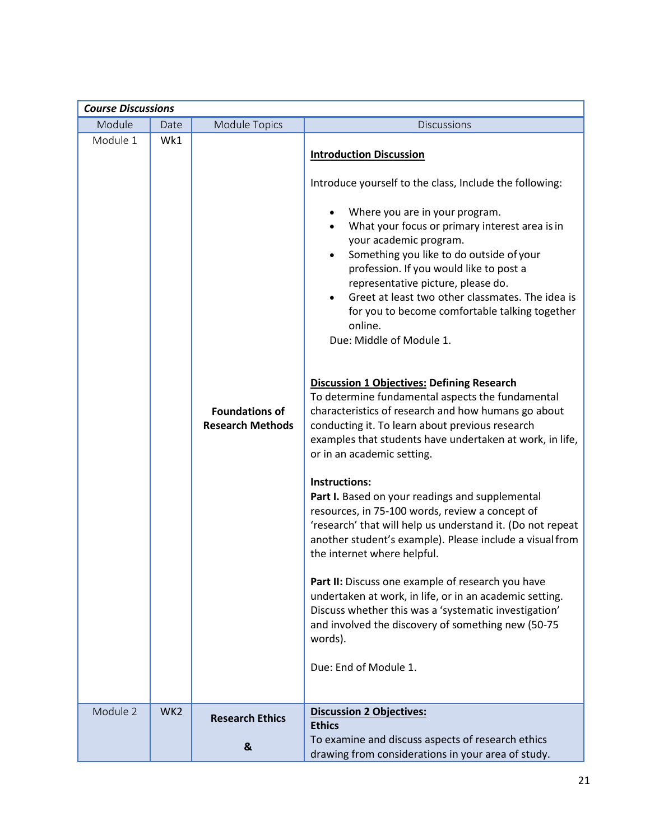<span id="page-20-0"></span>

| <b>Course Discussions</b> |                 |                                                  |                                                                                                                                                                                                                                                                                                                                                                                                                                                                                                                                                                                                                                                                                                                                                                                                                                                                                                                                                                                                                                                                                                                                                                                                                                                                                                                                                                |
|---------------------------|-----------------|--------------------------------------------------|----------------------------------------------------------------------------------------------------------------------------------------------------------------------------------------------------------------------------------------------------------------------------------------------------------------------------------------------------------------------------------------------------------------------------------------------------------------------------------------------------------------------------------------------------------------------------------------------------------------------------------------------------------------------------------------------------------------------------------------------------------------------------------------------------------------------------------------------------------------------------------------------------------------------------------------------------------------------------------------------------------------------------------------------------------------------------------------------------------------------------------------------------------------------------------------------------------------------------------------------------------------------------------------------------------------------------------------------------------------|
| Module                    | Date            | <b>Module Topics</b>                             | <b>Discussions</b>                                                                                                                                                                                                                                                                                                                                                                                                                                                                                                                                                                                                                                                                                                                                                                                                                                                                                                                                                                                                                                                                                                                                                                                                                                                                                                                                             |
| Module 1                  | Wk1             | <b>Foundations of</b><br><b>Research Methods</b> | <b>Introduction Discussion</b><br>Introduce yourself to the class, Include the following:<br>Where you are in your program.<br>What your focus or primary interest area is in<br>your academic program.<br>Something you like to do outside of your<br>$\bullet$<br>profession. If you would like to post a<br>representative picture, please do.<br>Greet at least two other classmates. The idea is<br>for you to become comfortable talking together<br>online.<br>Due: Middle of Module 1.<br><b>Discussion 1 Objectives: Defining Research</b><br>To determine fundamental aspects the fundamental<br>characteristics of research and how humans go about<br>conducting it. To learn about previous research<br>examples that students have undertaken at work, in life,<br>or in an academic setting.<br>Instructions:<br>Part I. Based on your readings and supplemental<br>resources, in 75-100 words, review a concept of<br>'research' that will help us understand it. (Do not repeat<br>another student's example). Please include a visual from<br>the internet where helpful.<br>Part II: Discuss one example of research you have<br>undertaken at work, in life, or in an academic setting.<br>Discuss whether this was a 'systematic investigation'<br>and involved the discovery of something new (50-75<br>words).<br>Due: End of Module 1. |
| Module 2                  | WK <sub>2</sub> | <b>Research Ethics</b>                           | <b>Discussion 2 Objectives:</b><br><b>Ethics</b>                                                                                                                                                                                                                                                                                                                                                                                                                                                                                                                                                                                                                                                                                                                                                                                                                                                                                                                                                                                                                                                                                                                                                                                                                                                                                                               |
|                           |                 |                                                  | To examine and discuss aspects of research ethics                                                                                                                                                                                                                                                                                                                                                                                                                                                                                                                                                                                                                                                                                                                                                                                                                                                                                                                                                                                                                                                                                                                                                                                                                                                                                                              |
|                           |                 | &                                                | drawing from considerations in your area of study.                                                                                                                                                                                                                                                                                                                                                                                                                                                                                                                                                                                                                                                                                                                                                                                                                                                                                                                                                                                                                                                                                                                                                                                                                                                                                                             |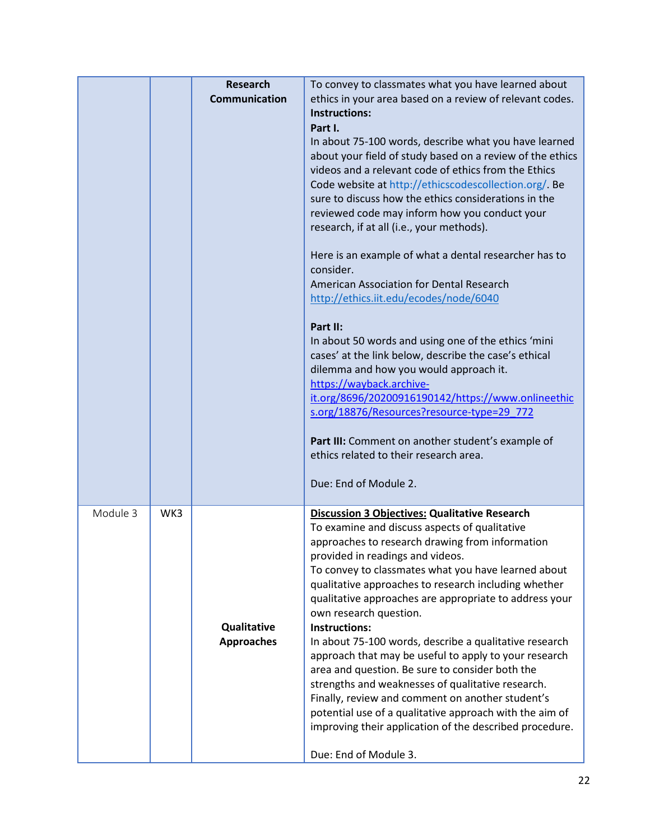|          |     | <b>Research</b><br><b>Communication</b> | To convey to classmates what you have learned about<br>ethics in your area based on a review of relevant codes.<br><b>Instructions:</b><br>Part I.<br>In about 75-100 words, describe what you have learned<br>about your field of study based on a review of the ethics<br>videos and a relevant code of ethics from the Ethics<br>Code website at http://ethicscodescollection.org/. Be<br>sure to discuss how the ethics considerations in the<br>reviewed code may inform how you conduct your<br>research, if at all (i.e., your methods).<br>Here is an example of what a dental researcher has to<br>consider.<br>American Association for Dental Research<br>http://ethics.iit.edu/ecodes/node/6040<br>Part II:<br>In about 50 words and using one of the ethics 'mini<br>cases' at the link below, describe the case's ethical<br>dilemma and how you would approach it.<br>https://wayback.archive-<br>it.org/8696/20200916190142/https://www.onlineethic<br>s.org/18876/Resources?resource-type=29 772<br>Part III: Comment on another student's example of<br>ethics related to their research area.<br>Due: End of Module 2. |
|----------|-----|-----------------------------------------|-------------------------------------------------------------------------------------------------------------------------------------------------------------------------------------------------------------------------------------------------------------------------------------------------------------------------------------------------------------------------------------------------------------------------------------------------------------------------------------------------------------------------------------------------------------------------------------------------------------------------------------------------------------------------------------------------------------------------------------------------------------------------------------------------------------------------------------------------------------------------------------------------------------------------------------------------------------------------------------------------------------------------------------------------------------------------------------------------------------------------------------------|
| Module 3 | WK3 | Qualitative<br><b>Approaches</b>        | <b>Discussion 3 Objectives: Qualitative Research</b><br>To examine and discuss aspects of qualitative<br>approaches to research drawing from information<br>provided in readings and videos.<br>To convey to classmates what you have learned about<br>qualitative approaches to research including whether<br>qualitative approaches are appropriate to address your<br>own research question.<br><b>Instructions:</b><br>In about 75-100 words, describe a qualitative research<br>approach that may be useful to apply to your research<br>area and question. Be sure to consider both the<br>strengths and weaknesses of qualitative research.<br>Finally, review and comment on another student's<br>potential use of a qualitative approach with the aim of<br>improving their application of the described procedure.<br>Due: End of Module 3.                                                                                                                                                                                                                                                                                     |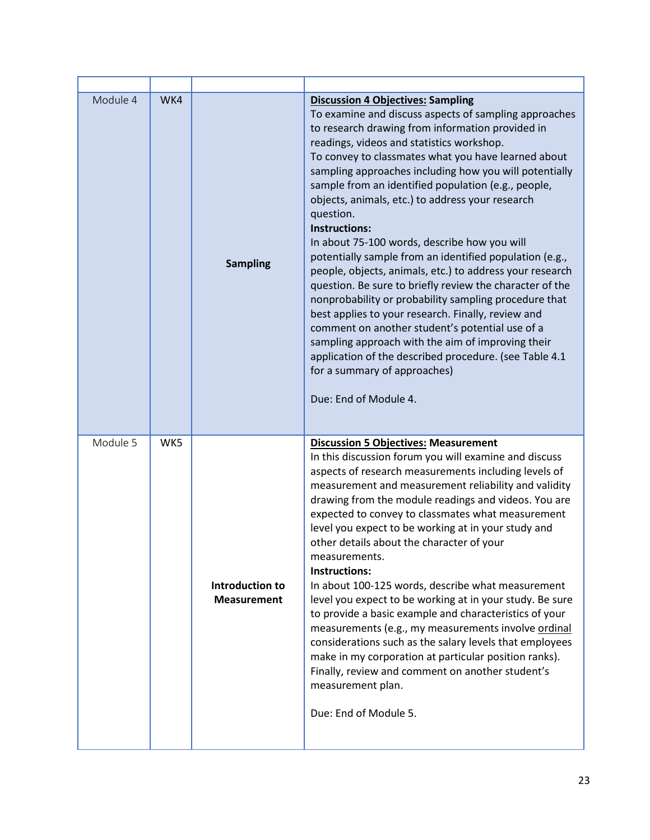| Module 4 | WK4 | <b>Sampling</b>                       | <b>Discussion 4 Objectives: Sampling</b><br>To examine and discuss aspects of sampling approaches<br>to research drawing from information provided in<br>readings, videos and statistics workshop.<br>To convey to classmates what you have learned about<br>sampling approaches including how you will potentially<br>sample from an identified population (e.g., people,<br>objects, animals, etc.) to address your research<br>question.<br>Instructions:<br>In about 75-100 words, describe how you will<br>potentially sample from an identified population (e.g.,<br>people, objects, animals, etc.) to address your research<br>question. Be sure to briefly review the character of the<br>nonprobability or probability sampling procedure that<br>best applies to your research. Finally, review and<br>comment on another student's potential use of a<br>sampling approach with the aim of improving their<br>application of the described procedure. (see Table 4.1<br>for a summary of approaches)<br>Due: End of Module 4. |
|----------|-----|---------------------------------------|-------------------------------------------------------------------------------------------------------------------------------------------------------------------------------------------------------------------------------------------------------------------------------------------------------------------------------------------------------------------------------------------------------------------------------------------------------------------------------------------------------------------------------------------------------------------------------------------------------------------------------------------------------------------------------------------------------------------------------------------------------------------------------------------------------------------------------------------------------------------------------------------------------------------------------------------------------------------------------------------------------------------------------------------|
| Module 5 | WK5 | Introduction to<br><b>Measurement</b> | <b>Discussion 5 Objectives: Measurement</b><br>In this discussion forum you will examine and discuss<br>aspects of research measurements including levels of<br>measurement and measurement reliability and validity<br>drawing from the module readings and videos. You are<br>expected to convey to classmates what measurement<br>level you expect to be working at in your study and<br>other details about the character of your<br>measurements.<br>Instructions:<br>In about 100-125 words, describe what measurement<br>level you expect to be working at in your study. Be sure<br>to provide a basic example and characteristics of your<br>measurements (e.g., my measurements involve ordinal<br>considerations such as the salary levels that employees<br>make in my corporation at particular position ranks).<br>Finally, review and comment on another student's<br>measurement plan.<br>Due: End of Module 5.                                                                                                           |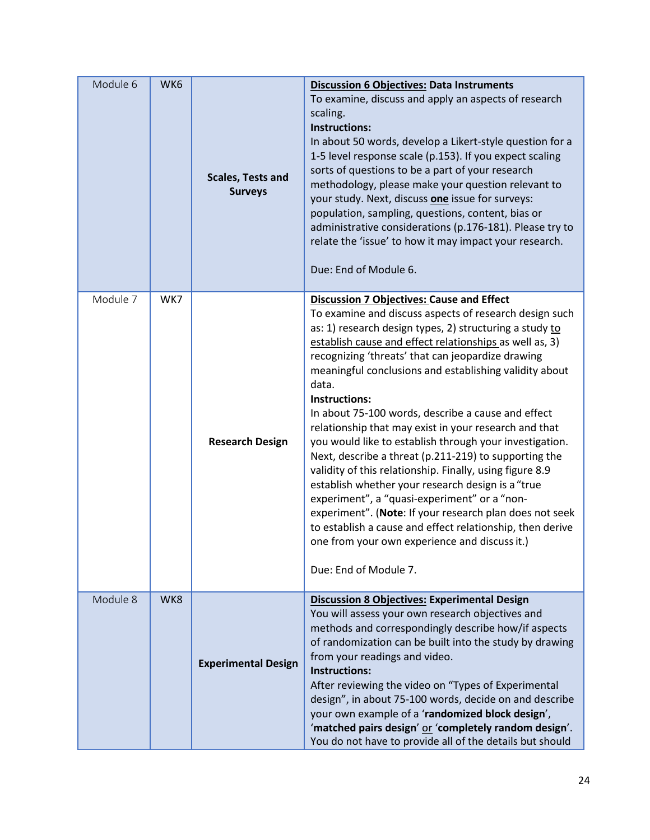| Module 6 | WK6 | <b>Scales, Tests and</b><br><b>Surveys</b> | <b>Discussion 6 Objectives: Data Instruments</b><br>To examine, discuss and apply an aspects of research<br>scaling.<br><b>Instructions:</b><br>In about 50 words, develop a Likert-style question for a<br>1-5 level response scale (p.153). If you expect scaling<br>sorts of questions to be a part of your research<br>methodology, please make your question relevant to<br>your study. Next, discuss one issue for surveys:<br>population, sampling, questions, content, bias or<br>administrative considerations (p.176-181). Please try to<br>relate the 'issue' to how it may impact your research.<br>Due: End of Module 6.                                                                                                                                                                                                                                                                                                                                           |
|----------|-----|--------------------------------------------|---------------------------------------------------------------------------------------------------------------------------------------------------------------------------------------------------------------------------------------------------------------------------------------------------------------------------------------------------------------------------------------------------------------------------------------------------------------------------------------------------------------------------------------------------------------------------------------------------------------------------------------------------------------------------------------------------------------------------------------------------------------------------------------------------------------------------------------------------------------------------------------------------------------------------------------------------------------------------------|
| Module 7 | WK7 | <b>Research Design</b>                     | <b>Discussion 7 Objectives: Cause and Effect</b><br>To examine and discuss aspects of research design such<br>as: 1) research design types, 2) structuring a study to<br>establish cause and effect relationships as well as, 3)<br>recognizing 'threats' that can jeopardize drawing<br>meaningful conclusions and establishing validity about<br>data.<br>Instructions:<br>In about 75-100 words, describe a cause and effect<br>relationship that may exist in your research and that<br>you would like to establish through your investigation.<br>Next, describe a threat (p.211-219) to supporting the<br>validity of this relationship. Finally, using figure 8.9<br>establish whether your research design is a "true<br>experiment", a "quasi-experiment" or a "non-<br>experiment". (Note: If your research plan does not seek<br>to establish a cause and effect relationship, then derive<br>one from your own experience and discuss it.)<br>Due: End of Module 7. |
| Module 8 | WK8 | <b>Experimental Design</b>                 | <b>Discussion 8 Objectives: Experimental Design</b><br>You will assess your own research objectives and<br>methods and correspondingly describe how/if aspects<br>of randomization can be built into the study by drawing<br>from your readings and video.<br><b>Instructions:</b><br>After reviewing the video on "Types of Experimental<br>design", in about 75-100 words, decide on and describe<br>your own example of a 'randomized block design',<br>'matched pairs design' or 'completely random design'.<br>You do not have to provide all of the details but should                                                                                                                                                                                                                                                                                                                                                                                                    |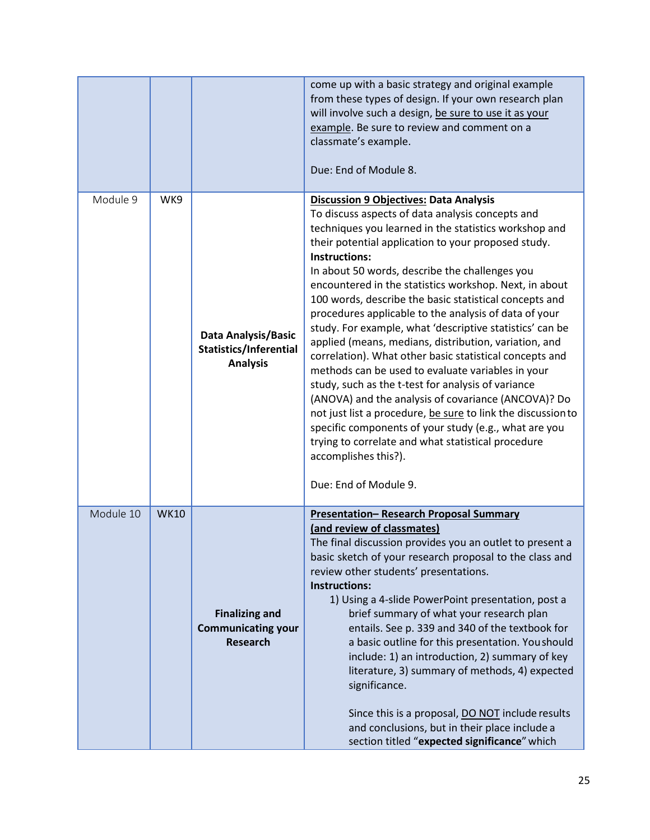|           |             |                                                                       | come up with a basic strategy and original example<br>from these types of design. If your own research plan<br>will involve such a design, be sure to use it as your<br>example. Be sure to review and comment on a<br>classmate's example.<br>Due: End of Module 8.                                                                                                                                                                                                                                                                                                                                                                                                                                                                                                                                                                                                                                                                                                                                                                                       |
|-----------|-------------|-----------------------------------------------------------------------|------------------------------------------------------------------------------------------------------------------------------------------------------------------------------------------------------------------------------------------------------------------------------------------------------------------------------------------------------------------------------------------------------------------------------------------------------------------------------------------------------------------------------------------------------------------------------------------------------------------------------------------------------------------------------------------------------------------------------------------------------------------------------------------------------------------------------------------------------------------------------------------------------------------------------------------------------------------------------------------------------------------------------------------------------------|
| Module 9  | WK9         | Data Analysis/Basic<br>Statistics/Inferential<br><b>Analysis</b>      | <b>Discussion 9 Objectives: Data Analysis</b><br>To discuss aspects of data analysis concepts and<br>techniques you learned in the statistics workshop and<br>their potential application to your proposed study.<br><b>Instructions:</b><br>In about 50 words, describe the challenges you<br>encountered in the statistics workshop. Next, in about<br>100 words, describe the basic statistical concepts and<br>procedures applicable to the analysis of data of your<br>study. For example, what 'descriptive statistics' can be<br>applied (means, medians, distribution, variation, and<br>correlation). What other basic statistical concepts and<br>methods can be used to evaluate variables in your<br>study, such as the t-test for analysis of variance<br>(ANOVA) and the analysis of covariance (ANCOVA)? Do<br>not just list a procedure, be sure to link the discussion to<br>specific components of your study (e.g., what are you<br>trying to correlate and what statistical procedure<br>accomplishes this?).<br>Due: End of Module 9. |
| Module 10 | <b>WK10</b> | <b>Finalizing and</b><br><b>Communicating your</b><br><b>Research</b> | <b>Presentation- Research Proposal Summary</b><br>(and review of classmates)<br>The final discussion provides you an outlet to present a<br>basic sketch of your research proposal to the class and<br>review other students' presentations.<br><b>Instructions:</b><br>1) Using a 4-slide PowerPoint presentation, post a<br>brief summary of what your research plan<br>entails. See p. 339 and 340 of the textbook for<br>a basic outline for this presentation. You should<br>include: 1) an introduction, 2) summary of key<br>literature, 3) summary of methods, 4) expected<br>significance.<br>Since this is a proposal, DO NOT include results<br>and conclusions, but in their place include a<br>section titled "expected significance" which                                                                                                                                                                                                                                                                                                   |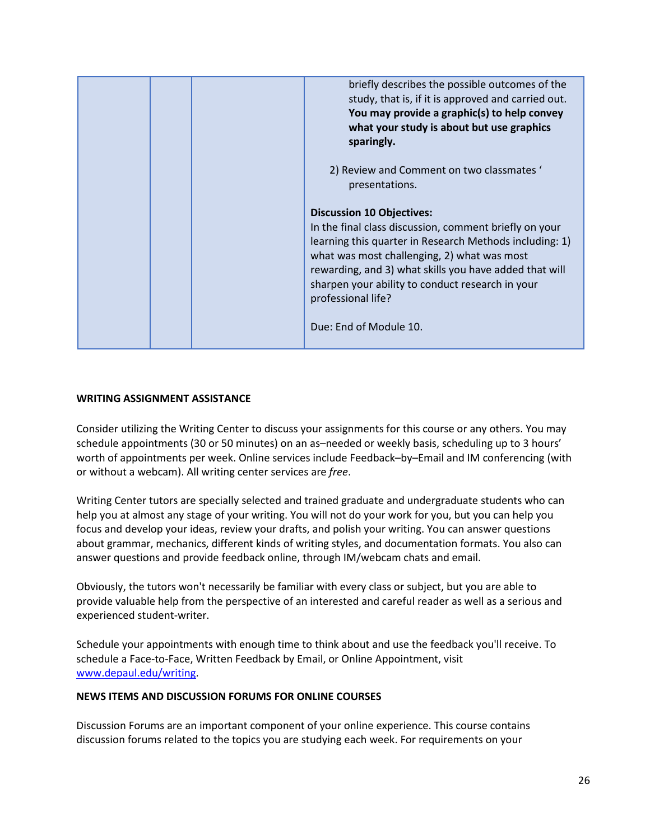|  | briefly describes the possible outcomes of the<br>study, that is, if it is approved and carried out.<br>You may provide a graphic(s) to help convey<br>what your study is about but use graphics<br>sparingly.                                                                                                                           |
|--|------------------------------------------------------------------------------------------------------------------------------------------------------------------------------------------------------------------------------------------------------------------------------------------------------------------------------------------|
|  | 2) Review and Comment on two classmates '<br>presentations.                                                                                                                                                                                                                                                                              |
|  | <b>Discussion 10 Objectives:</b><br>In the final class discussion, comment briefly on your<br>learning this quarter in Research Methods including: 1)<br>what was most challenging, 2) what was most<br>rewarding, and 3) what skills you have added that will<br>sharpen your ability to conduct research in your<br>professional life? |
|  | Due: End of Module 10.                                                                                                                                                                                                                                                                                                                   |

## <span id="page-25-0"></span>**WRITING ASSIGNMENT ASSISTANCE**

Consider utilizing the Writing Center to discuss your assignments for this course or any others. You may schedule appointments (30 or 50 minutes) on an as–needed or weekly basis, scheduling up to 3 hours' worth of appointments per week. Online services include Feedback–by–Email and IM conferencing (with or without a webcam). All writing center services are *free*.

Writing Center tutors are specially selected and trained graduate and undergraduate students who can help you at almost any stage of your writing. You will not do your work for you, but you can help you focus and develop your ideas, review your drafts, and polish your writing. You can answer questions about grammar, mechanics, different kinds of writing styles, and documentation formats. You also can answer questions and provide feedback online, through IM/webcam chats and email.

Obviously, the tutors won't necessarily be familiar with every class or subject, but you are able to provide valuable help from the perspective of an interested and careful reader as well as a serious and experienced student-writer.

Schedule your appointments with enough time to think about and use the feedback you'll receive. To schedule a Face-to-Face, Written Feedback by Email, or Online Appointment, visit [www.depaul.edu/writing.](http://www.depaul.edu/writing)

## <span id="page-25-1"></span>**NEWS ITEMS AND DISCUSSION FORUMS FOR ONLINE COURSES**

Discussion Forums are an important component of your online experience. This course contains discussion forums related to the topics you are studying each week. For requirements on your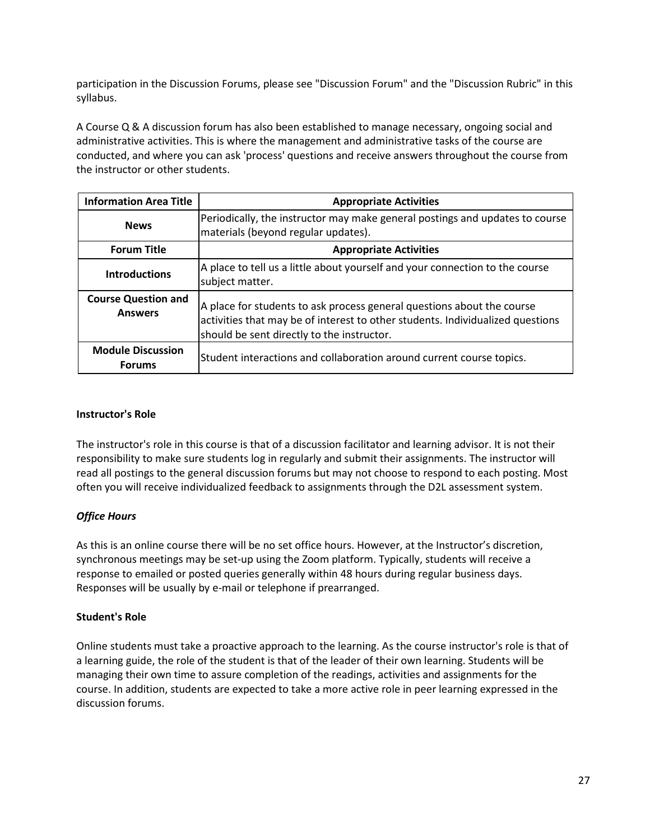participation in the Discussion Forums, please see "Discussion Forum" and the "Discussion Rubric" in this syllabus.

A Course Q & A discussion forum has also been established to manage necessary, ongoing social and administrative activities. This is where the management and administrative tasks of the course are conducted, and where you can ask 'process' questions and receive answers throughout the course from the instructor or other students.

| <b>Information Area Title</b>                | <b>Appropriate Activities</b>                                                                                                                                                                          |
|----------------------------------------------|--------------------------------------------------------------------------------------------------------------------------------------------------------------------------------------------------------|
| <b>News</b>                                  | Periodically, the instructor may make general postings and updates to course<br>materials (beyond regular updates).                                                                                    |
| <b>Forum Title</b>                           | <b>Appropriate Activities</b>                                                                                                                                                                          |
| <b>Introductions</b>                         | A place to tell us a little about yourself and your connection to the course<br>subject matter.                                                                                                        |
| <b>Course Question and</b><br><b>Answers</b> | A place for students to ask process general questions about the course<br>activities that may be of interest to other students. Individualized questions<br>should be sent directly to the instructor. |
| <b>Module Discussion</b><br><b>Forums</b>    | Student interactions and collaboration around current course topics.                                                                                                                                   |

## <span id="page-26-0"></span>**Instructor's Role**

The instructor's role in this course is that of a discussion facilitator and learning advisor. It is not their responsibility to make sure students log in regularly and submit their assignments. The instructor will read all postings to the general discussion forums but may not choose to respond to each posting. Most often you will receive individualized feedback to assignments through the D2L assessment system.

## <span id="page-26-1"></span>*Office Hours*

As this is an online course there will be no set office hours. However, at the Instructor's discretion, synchronous meetings may be set-up using the Zoom platform. Typically, students will receive a response to emailed or posted queries generally within 48 hours during regular business days. Responses will be usually by e-mail or telephone if prearranged.

## <span id="page-26-2"></span>**Student's Role**

Online students must take a proactive approach to the learning. As the course instructor's role is that of a learning guide, the role of the student is that of the leader of their own learning. Students will be managing their own time to assure completion of the readings, activities and assignments for the course. In addition, students are expected to take a more active role in peer learning expressed in the discussion forums.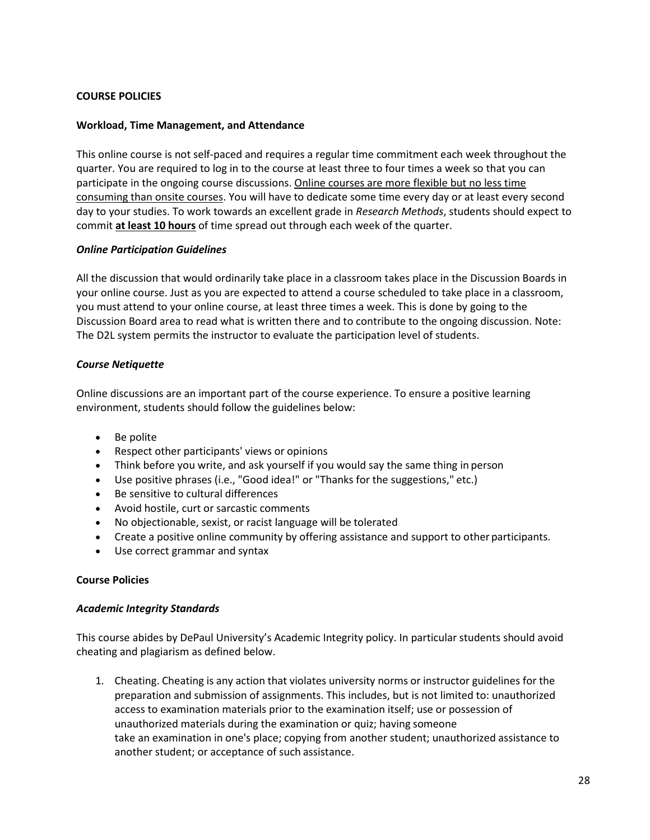## <span id="page-27-0"></span>**COURSE POLICIES**

## <span id="page-27-1"></span>**Workload, Time Management, and Attendance**

This online course is not self-paced and requires a regular time commitment each week throughout the quarter. You are required to log in to the course at least three to four times a week so that you can participate in the ongoing course discussions. Online courses are more flexible but no less time consuming than onsite courses. You will have to dedicate some time every day or at least every second day to your studies. To work towards an excellent grade in *Research Methods*, students should expect to commit **at least 10 hours** of time spread out through each week of the quarter.

#### <span id="page-27-2"></span>*Online Participation Guidelines*

All the discussion that would ordinarily take place in a classroom takes place in the Discussion Boards in your online course. Just as you are expected to attend a course scheduled to take place in a classroom, you must attend to your online course, at least three times a week. This is done by going to the Discussion Board area to read what is written there and to contribute to the ongoing discussion. Note: The D2L system permits the instructor to evaluate the participation level of students.

## <span id="page-27-3"></span>*Course Netiquette*

Online discussions are an important part of the course experience. To ensure a positive learning environment, students should follow the guidelines below:

- Be polite
- Respect other participants' views or opinions
- Think before you write, and ask yourself if you would say the same thing in person
- Use positive phrases (i.e., "Good idea!" or "Thanks for the suggestions," etc.)
- Be sensitive to cultural differences
- Avoid hostile, curt or sarcastic comments
- No objectionable, sexist, or racist language will be tolerated
- Create a positive online community by offering assistance and support to other participants.
- Use correct grammar and syntax

## <span id="page-27-4"></span>**Course Policies**

## <span id="page-27-5"></span>*Academic Integrity Standards*

This course abides by DePaul University's Academic Integrity policy. In particular students should avoid cheating and plagiarism as defined below.

1. Cheating. Cheating is any action that violates university norms or instructor guidelines for the preparation and submission of assignments. This includes, but is not limited to: unauthorized access to examination materials prior to the examination itself; use or possession of unauthorized materials during the examination or quiz; having someone take an examination in one's place; copying from another student; unauthorized assistance to another student; or acceptance of such assistance.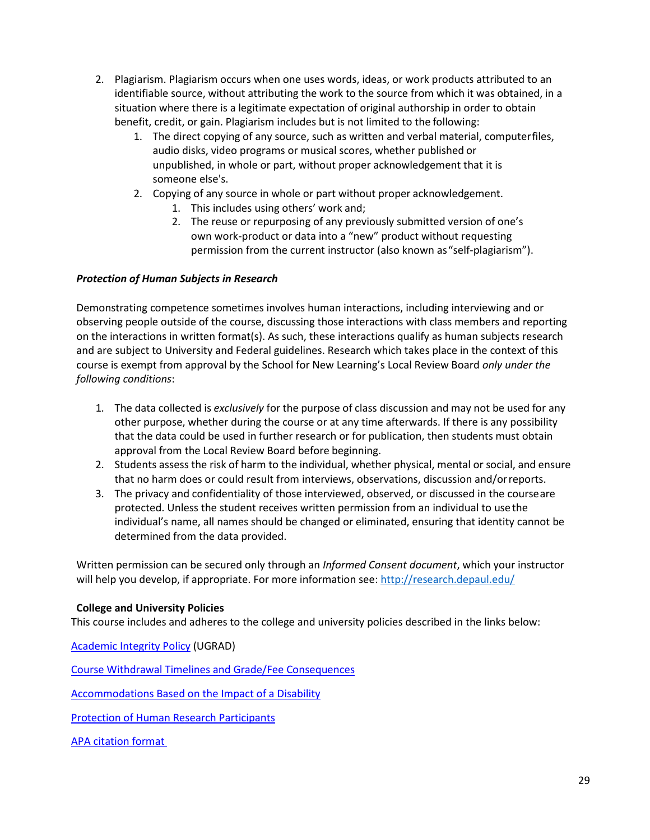- 2. Plagiarism. Plagiarism occurs when one uses words, ideas, or work products attributed to an identifiable source, without attributing the work to the source from which it was obtained, in a situation where there is a legitimate expectation of original authorship in order to obtain benefit, credit, or gain. Plagiarism includes but is not limited to the following:
	- 1. The direct copying of any source, such as written and verbal material, computerfiles, audio disks, video programs or musical scores, whether published or unpublished, in whole or part, without proper acknowledgement that it is someone else's.
	- 2. Copying of any source in whole or part without proper acknowledgement.
		- 1. This includes using others' work and;
		- 2. The reuse or repurposing of any previously submitted version of one's own work-product or data into a "new" product without requesting permission from the current instructor (also known as"self-plagiarism").

## <span id="page-28-0"></span>*Protection of Human Subjects in Research*

Demonstrating competence sometimes involves human interactions, including interviewing and or observing people outside of the course, discussing those interactions with class members and reporting on the interactions in written format(s). As such, these interactions qualify as human subjects research and are subject to University and Federal guidelines. Research which takes place in the context of this course is exempt from approval by the School for New Learning's Local Review Board *only under the following conditions*:

- 1. The data collected is *exclusively* for the purpose of class discussion and may not be used for any other purpose, whether during the course or at any time afterwards. If there is any possibility that the data could be used in further research or for publication, then students must obtain approval from the Local Review Board before beginning.
- 2. Students assess the risk of harm to the individual, whether physical, mental or social, and ensure that no harm does or could result from interviews, observations, discussion and/orreports.
- 3. The privacy and confidentiality of those interviewed, observed, or discussed in the courseare protected. Unless the student receives written permission from an individual to usethe individual's name, all names should be changed or eliminated, ensuring that identity cannot be determined from the data provided.

Written permission can be secured only through an *Informed Consent document*, which your instructor will help you develop, if appropriate. For more information see[: http://research.depaul.edu/](http://research.depaul.edu/)

## <span id="page-28-1"></span>**College and University Policies**

This course includes and adheres to the college and university policies described in the links below:

[Academic Integrity Policy](https://catalog.depaul.edu/student-handbooks/undergraduate/undergraduate-academic-policies/academic-integrity/) (UGRAD)

[Course Withdrawal Timelines and Grade/Fee Consequences](https://catalog.depaul.edu/student-handbooks/undergraduate/undergraduate-academic-policies/grades-incomplete-and-research-expiration-policy/)

[Accommodations Based on the Impact of a Disability](https://catalog.depaul.edu/student-handbooks/undergraduate/university-resources/center-for-students-with-disabilities/)

[Protection of Human Research Participants](http://policies.depaul.edu/policy/policy.aspx?pid=185)

[APA citation format](https://owl.purdue.edu/owl/research_and_citation/apa_style/apa_style_introduction.html)